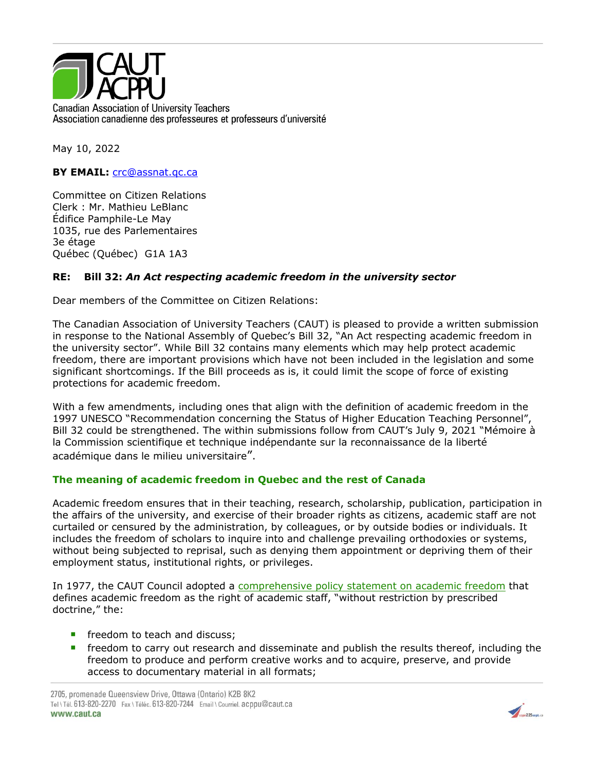

May 10, 2022

# **BY EMAIL:** [crc@assnat.qc.ca](mailto:crc@assnat.qc.ca)

Committee on Citizen Relations Clerk : Mr. Mathieu LeBlanc Édifice Pamphile-Le May 1035, rue des Parlementaires 3e étage Québec (Québec) G1A 1A3

# **RE: Bill 32:** *An Act respecting academic freedom in the university sector*

Dear members of the Committee on Citizen Relations:

The Canadian Association of University Teachers (CAUT) is pleased to provide a written submission in response to the National Assembly of Quebec's Bill 32, "An Act respecting academic freedom in the university sector". While Bill 32 contains many elements which may help protect academic freedom, there are important provisions which have not been included in the legislation and some significant shortcomings. If the Bill proceeds as is, it could limit the scope of force of existing protections for academic freedom.

With a few amendments, including ones that align with the definition of academic freedom in the 1997 UNESCO "Recommendation concerning the Status of Higher Education Teaching Personnel", Bill 32 could be strengthened. The within submissions follow from CAUT's July 9, 2021 "Mémoire à la Commission scientifique et technique indépendante sur la reconnaissance de la liberté académique dans le milieu universitaire".

## **The meaning of academic freedom in Quebec and the rest of Canada**

Academic freedom ensures that in their teaching, research, scholarship, publication, participation in the affairs of the university, and exercise of their broader rights as citizens, academic staff are not curtailed or censured by the administration, by colleagues, or by outside bodies or individuals. It includes the freedom of scholars to inquire into and challenge prevailing orthodoxies or systems, without being subjected to reprisal, such as denying them appointment or depriving them of their employment status, institutional rights, or privileges.

In 1977, the CAUT Council adopted a [comprehensive policy statement](https://www.caut.ca/about-us/caut-policy/lists/caut-policy-statements/policy-statement-on-academic-freedom) on academic freedom that defines academic freedom as the right of academic staff, "without restriction by prescribed doctrine," the:

- freedom to teach and discuss;
- freedom to carry out research and disseminate and publish the results thereof, including the freedom to produce and perform creative works and to acquire, preserve, and provide access to documentary material in all formats;

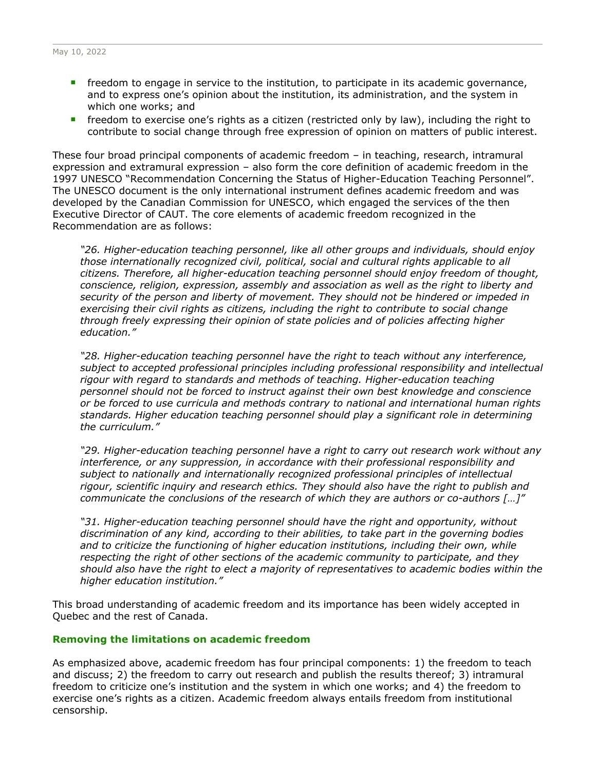- freedom to engage in service to the institution, to participate in its academic governance, and to express one's opinion about the institution, its administration, and the system in which one works; and
- freedom to exercise one's rights as a citizen (restricted only by law), including the right to contribute to social change through free expression of opinion on matters of public interest.

These four broad principal components of academic freedom – in teaching, research, intramural expression and extramural expression – also form the core definition of academic freedom in the 1997 UNESCO "Recommendation Concerning the Status of Higher-Education Teaching Personnel". The UNESCO document is the only international instrument defines academic freedom and was developed by the Canadian Commission for UNESCO, which engaged the services of the then Executive Director of CAUT. The core elements of academic freedom recognized in the Recommendation are as follows:

*"26. Higher-education teaching personnel, like all other groups and individuals, should enjoy those internationally recognized civil, political, social and cultural rights applicable to all citizens. Therefore, all higher-education teaching personnel should enjoy freedom of thought, conscience, religion, expression, assembly and association as well as the right to liberty and security of the person and liberty of movement. They should not be hindered or impeded in exercising their civil rights as citizens, including the right to contribute to social change through freely expressing their opinion of state policies and of policies affecting higher education."*

*"28. Higher-education teaching personnel have the right to teach without any interference, subject to accepted professional principles including professional responsibility and intellectual rigour with regard to standards and methods of teaching. Higher-education teaching personnel should not be forced to instruct against their own best knowledge and conscience or be forced to use curricula and methods contrary to national and international human rights standards. Higher education teaching personnel should play a significant role in determining the curriculum."*

*"29. Higher-education teaching personnel have a right to carry out research work without any interference, or any suppression, in accordance with their professional responsibility and subject to nationally and internationally recognized professional principles of intellectual rigour, scientific inquiry and research ethics. They should also have the right to publish and communicate the conclusions of the research of which they are authors or co-authors […]"*

*"31. Higher-education teaching personnel should have the right and opportunity, without discrimination of any kind, according to their abilities, to take part in the governing bodies and to criticize the functioning of higher education institutions, including their own, while respecting the right of other sections of the academic community to participate, and they should also have the right to elect a majority of representatives to academic bodies within the higher education institution."*

This broad understanding of academic freedom and its importance has been widely accepted in Quebec and the rest of Canada.

#### **Removing the limitations on academic freedom**

As emphasized above, academic freedom has four principal components: 1) the freedom to teach and discuss; 2) the freedom to carry out research and publish the results thereof; 3) intramural freedom to criticize one's institution and the system in which one works; and 4) the freedom to exercise one's rights as a citizen. Academic freedom always entails freedom from institutional censorship.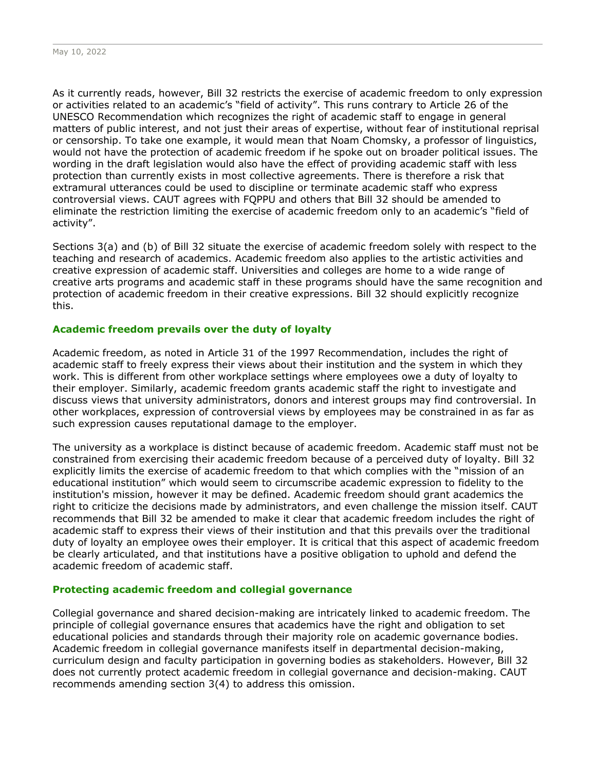As it currently reads, however, Bill 32 restricts the exercise of academic freedom to only expression or activities related to an academic's "field of activity". This runs contrary to Article 26 of the UNESCO Recommendation which recognizes the right of academic staff to engage in general matters of public interest, and not just their areas of expertise, without fear of institutional reprisal or censorship. To take one example, it would mean that Noam Chomsky, a professor of linguistics, would not have the protection of academic freedom if he spoke out on broader political issues. The wording in the draft legislation would also have the effect of providing academic staff with less protection than currently exists in most collective agreements. There is therefore a risk that extramural utterances could be used to discipline or terminate academic staff who express controversial views. CAUT agrees with FQPPU and others that Bill 32 should be amended to eliminate the restriction limiting the exercise of academic freedom only to an academic's "field of activity".

Sections 3(a) and (b) of Bill 32 situate the exercise of academic freedom solely with respect to the teaching and research of academics. Academic freedom also applies to the artistic activities and creative expression of academic staff. Universities and colleges are home to a wide range of creative arts programs and academic staff in these programs should have the same recognition and protection of academic freedom in their creative expressions. Bill 32 should explicitly recognize this.

## **Academic freedom prevails over the duty of loyalty**

Academic freedom, as noted in Article 31 of the 1997 Recommendation, includes the right of academic staff to freely express their views about their institution and the system in which they work. This is different from other workplace settings where employees owe a duty of loyalty to their employer. Similarly, academic freedom grants academic staff the right to investigate and discuss views that university administrators, donors and interest groups may find controversial. In other workplaces, expression of controversial views by employees may be constrained in as far as such expression causes reputational damage to the employer.

The university as a workplace is distinct because of academic freedom. Academic staff must not be constrained from exercising their academic freedom because of a perceived duty of loyalty. Bill 32 explicitly limits the exercise of academic freedom to that which complies with the "mission of an educational institution" which would seem to circumscribe academic expression to fidelity to the institution's mission, however it may be defined. Academic freedom should grant academics the right to criticize the decisions made by administrators, and even challenge the mission itself. CAUT recommends that Bill 32 be amended to make it clear that academic freedom includes the right of academic staff to express their views of their institution and that this prevails over the traditional duty of loyalty an employee owes their employer. It is critical that this aspect of academic freedom be clearly articulated, and that institutions have a positive obligation to uphold and defend the academic freedom of academic staff.

#### **Protecting academic freedom and collegial governance**

Collegial governance and shared decision-making are intricately linked to academic freedom. The principle of collegial governance ensures that academics have the right and obligation to set educational policies and standards through their majority role on academic governance bodies. Academic freedom in collegial governance manifests itself in departmental decision-making, curriculum design and faculty participation in governing bodies as stakeholders. However, Bill 32 does not currently protect academic freedom in collegial governance and decision-making. CAUT recommends amending section 3(4) to address this omission.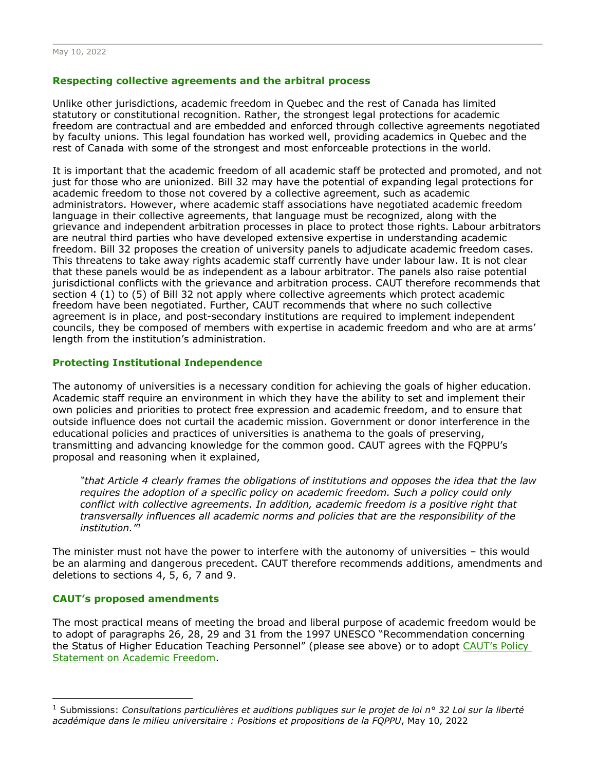## **Respecting collective agreements and the arbitral process**

Unlike other jurisdictions, academic freedom in Quebec and the rest of Canada has limited statutory or constitutional recognition. Rather, the strongest legal protections for academic freedom are contractual and are embedded and enforced through collective agreements negotiated by faculty unions. This legal foundation has worked well, providing academics in Quebec and the rest of Canada with some of the strongest and most enforceable protections in the world.

It is important that the academic freedom of all academic staff be protected and promoted, and not just for those who are unionized. Bill 32 may have the potential of expanding legal protections for academic freedom to those not covered by a collective agreement, such as academic administrators. However, where academic staff associations have negotiated academic freedom language in their collective agreements, that language must be recognized, along with the grievance and independent arbitration processes in place to protect those rights. Labour arbitrators are neutral third parties who have developed extensive expertise in understanding academic freedom. Bill 32 proposes the creation of university panels to adjudicate academic freedom cases. This threatens to take away rights academic staff currently have under labour law. It is not clear that these panels would be as independent as a labour arbitrator. The panels also raise potential jurisdictional conflicts with the grievance and arbitration process. CAUT therefore recommends that section 4 (1) to (5) of Bill 32 not apply where collective agreements which protect academic freedom have been negotiated. Further, CAUT recommends that where no such collective agreement is in place, and post-secondary institutions are required to implement independent councils, they be composed of members with expertise in academic freedom and who are at arms' length from the institution's administration.

## **Protecting Institutional Independence**

The autonomy of universities is a necessary condition for achieving the goals of higher education. Academic staff require an environment in which they have the ability to set and implement their own policies and priorities to protect free expression and academic freedom, and to ensure that outside influence does not curtail the academic mission. Government or donor interference in the educational policies and practices of universities is anathema to the goals of preserving, transmitting and advancing knowledge for the common good. CAUT agrees with the FQPPU's proposal and reasoning when it explained,

*"that Article 4 clearly frames the obligations of institutions and opposes the idea that the law requires the adoption of a specific policy on academic freedom. Such a policy could only conflict with collective agreements. In addition, academic freedom is a positive right that transversally influences all academic norms and policies that are the responsibility of the institution."<sup>1</sup>* 

The minister must not have the power to interfere with the autonomy of universities – this would be an alarming and dangerous precedent. CAUT therefore recommends additions, amendments and deletions to sections 4, 5, 6, 7 and 9.

## **CAUT's proposed amendments**

The most practical means of meeting the broad and liberal purpose of academic freedom would be to adopt of paragraphs 26, 28, 29 and 31 from the 1997 UNESCO "Recommendation concerning the Status of Higher Education Teaching Personnel" (please see above) or to adopt [CAUT's Policy](https://www.caut.ca/fr/au-sujet/politiques-generales-de-l-acppu/lists/politiques-g%C3%A9n%C3%A9rales-de-l%27acppu/%C3%A9nonc%C3%A9-de-principes-de-l%27acppu-sur-la-libert%C3%A9-acad%C3%A9mique)  [Statement on Academic Freedom.](https://www.caut.ca/fr/au-sujet/politiques-generales-de-l-acppu/lists/politiques-g%C3%A9n%C3%A9rales-de-l%27acppu/%C3%A9nonc%C3%A9-de-principes-de-l%27acppu-sur-la-libert%C3%A9-acad%C3%A9mique)

<sup>1</sup> Submissions: *Consultations particulières et auditions publiques sur le projet de loi n° 32 Loi sur la liberté académique dans le milieu universitaire : Positions et propositions de la FQPPU*, May 10, 2022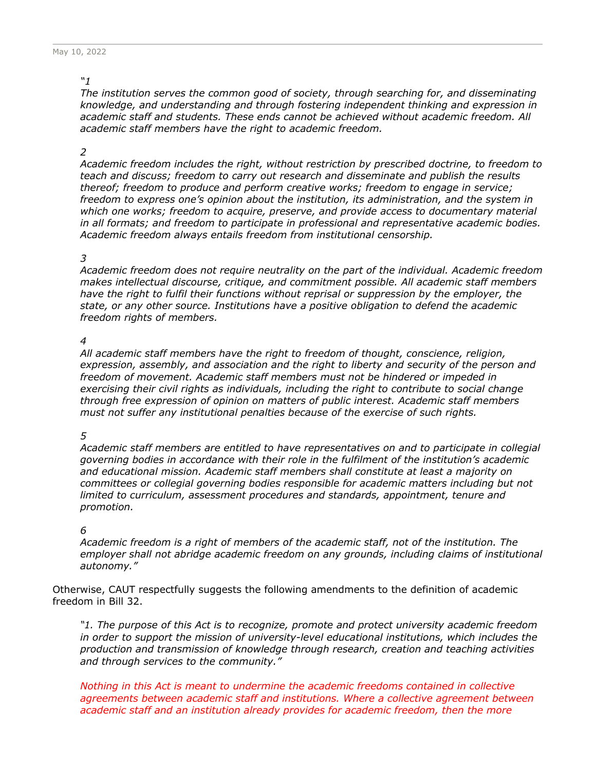#### May 10, 2022

#### *"1*

*The institution serves the common good of society, through searching for, and disseminating knowledge, and understanding and through fostering independent thinking and expression in academic staff and students. These ends cannot be achieved without academic freedom. All academic staff members have the right to academic freedom.*

#### *2*

*Academic freedom includes the right, without restriction by prescribed doctrine, to freedom to teach and discuss; freedom to carry out research and disseminate and publish the results thereof; freedom to produce and perform creative works; freedom to engage in service; freedom to express one's opinion about the institution, its administration, and the system in which one works; freedom to acquire, preserve, and provide access to documentary material in all formats; and freedom to participate in professional and representative academic bodies. Academic freedom always entails freedom from institutional censorship.*

## *3*

*Academic freedom does not require neutrality on the part of the individual. Academic freedom makes intellectual discourse, critique, and commitment possible. All academic staff members have the right to fulfil their functions without reprisal or suppression by the employer, the state, or any other source. Institutions have a positive obligation to defend the academic freedom rights of members.*

## *4*

*All academic staff members have the right to freedom of thought, conscience, religion, expression, assembly, and association and the right to liberty and security of the person and freedom of movement. Academic staff members must not be hindered or impeded in exercising their civil rights as individuals, including the right to contribute to social change through free expression of opinion on matters of public interest. Academic staff members must not suffer any institutional penalties because of the exercise of such rights.*

## *5*

*Academic staff members are entitled to have representatives on and to participate in collegial governing bodies in accordance with their role in the fulfilment of the institution's academic and educational mission. Academic staff members shall constitute at least a majority on committees or collegial governing bodies responsible for academic matters including but not limited to curriculum, assessment procedures and standards, appointment, tenure and promotion.*

## *6*

*Academic freedom is a right of members of the academic staff, not of the institution. The employer shall not abridge academic freedom on any grounds, including claims of institutional autonomy."*

Otherwise, CAUT respectfully suggests the following amendments to the definition of academic freedom in Bill 32.

*"1. The purpose of this Act is to recognize, promote and protect university academic freedom in order to support the mission of university-level educational institutions, which includes the production and transmission of knowledge through research, creation and teaching activities and through services to the community."*

*Nothing in this Act is meant to undermine the academic freedoms contained in collective agreements between academic staff and institutions. Where a collective agreement between academic staff and an institution already provides for academic freedom, then the more*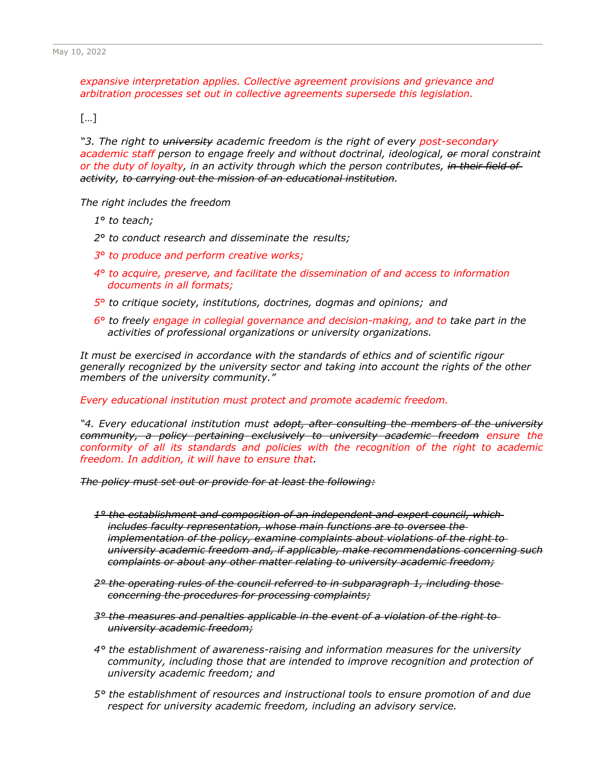*expansive interpretation applies. Collective agreement provisions and grievance and arbitration processes set out in collective agreements supersede this legislation.*

[…]

*"3. The right to university academic freedom is the right of every post-secondary academic staff person to engage freely and without doctrinal, ideological, or moral constraint or the duty of loyalty, in an activity through which the person contributes, in their field of activity, to carrying out the mission of an educational institution.*

*The right includes the freedom*

- *1*° *to teach;*
- *2*° *to conduct research and disseminate the results;*
- *3*° *to produce and perform creative works;*
- *4*° *to acquire, preserve, and facilitate the dissemination of and access to information documents in all formats;*
- *5*° *to critique society, institutions, doctrines, dogmas and opinions; and*
- *6*° *to freely engage in collegial governance and decision-making, and to take part in the activities of professional organizations or university organizations.*

*It must be exercised in accordance with the standards of ethics and of scientific rigour generally recognized by the university sector and taking into account the rights of the other members of the university community."*

*Every educational institution must protect and promote academic freedom.*

*"4. Every educational institution must adopt, after consulting the members of the university community, a policy pertaining exclusively to university academic freedom ensure the conformity of all its standards and policies with the recognition of the right to academic freedom. In addition, it will have to ensure that.*

*The policy must set out or provide for at least the following:*

- *1° the establishment and composition of an independent and expert council, which includes faculty representation, whose main functions are to oversee the implementation of the policy, examine complaints about violations of the right to university academic freedom and, if applicable, make recommendations concerning such complaints or about any other matter relating to university academic freedom;*
- *2° the operating rules of the council referred to in subparagraph 1, including those concerning the procedures for processing complaints;*
- *3° the measures and penalties applicable in the event of a violation of the right to university academic freedom;*
- *4° the establishment of awareness-raising and information measures for the university community, including those that are intended to improve recognition and protection of university academic freedom; and*
- *5° the establishment of resources and instructional tools to ensure promotion of and due respect for university academic freedom, including an advisory service.*